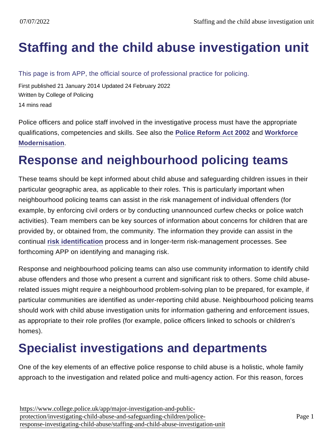# [Staffing and the child abuse investigation unit](https://www.college.police.uk/app/major-investigation-and-public-protection/investigating-child-abuse-and-safeguarding-children/police-response-investigating-child-abuse/staffing-and-child-abuse-investigation-unit)

This page is from APP, the official source of professional practice for policing.

First published 21 January 2014 Updated 24 February 2022 Written by College of Policing 14 mins read

Police officers and police staff involved in the investigative process must have the appropriate qualifications, competencies and skills. See also the [Police Reform Act 2002](http://www.legislation.gov.uk/ukpga/2002/30/contents) and [Workforce](http://www.hmic.gov.uk/media/modernising-the-police-service-20040629.pdf) [Modernisation](http://www.hmic.gov.uk/media/modernising-the-police-service-20040629.pdf) .

## Response and neighbourhood policing teams

These teams should be kept informed about child abuse and safeguarding children issues in their particular geographic area, as applicable to their roles. This is particularly important when neighbourhood policing teams can assist in the risk management of individual offenders (for example, by enforcing civil orders or by conducting unannounced curfew checks or police watch activities). Team members can be key sources of information about concerns for children that are provided by, or obtained from, the community. The information they provide can assist in the continual [risk identification](https://www.app.college.police.uk/app-content/major-investigation-and-public-protection/child-abuse/concern-for-a-child/#risk-identification) process and in longer-term risk-management processes. See forthcoming APP on identifying and managing risk.

Response and neighbourhood policing teams can also use community information to identify child abuse offenders and those who present a current and significant risk to others. Some child abuserelated issues might require a neighbourhood problem-solving plan to be prepared, for example, if particular communities are identified as under-reporting child abuse. Neighbourhood policing teams should work with child abuse investigation units for information gathering and enforcement issues, as appropriate to their role profiles (for example, police officers linked to schools or children's homes).

## Specialist investigations and departments

One of the key elements of an effective police response to child abuse is a holistic, whole family approach to the investigation and related police and multi-agency action. For this reason, forces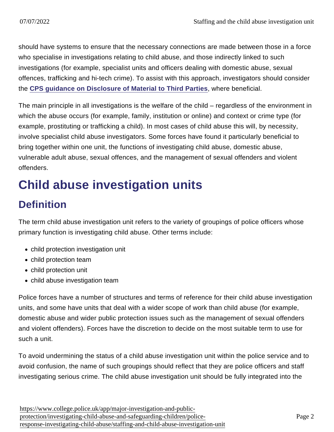should have systems to ensure that the necessary connections are made between those in a force who specialise in investigations relating to child abuse, and those indirectly linked to such investigations (for example, specialist units and officers dealing with domestic abuse, sexual offences, trafficking and hi-tech crime). To assist with this approach, investigators should consider the [CPS guidance on Disclosure of Material to Third Parties](http://www.cps.gov.uk/legal/d_to_g/disclosure_of_third_parties/) , where beneficial.

The main principle in all investigations is the welfare of the child – regardless of the environment in which the abuse occurs (for example, family, institution or online) and context or crime type (for example, prostituting or trafficking a child). In most cases of child abuse this will, by necessity, involve specialist child abuse investigators. Some forces have found it particularly beneficial to bring together within one unit, the functions of investigating child abuse, domestic abuse, vulnerable adult abuse, sexual offences, and the management of sexual offenders and violent offenders.

# Child abuse investigation units

### **Definition**

The term child abuse investigation unit refers to the variety of groupings of police officers whose primary function is investigating child abuse. Other terms include:

- child protection investigation unit
- child protection team
- child protection unit
- child abuse investigation team

Police forces have a number of structures and terms of reference for their child abuse investigation units, and some have units that deal with a wider scope of work than child abuse (for example, domestic abuse and wider public protection issues such as the management of sexual offenders and violent offenders). Forces have the discretion to decide on the most suitable term to use for such a unit.

To avoid undermining the status of a child abuse investigation unit within the police service and to avoid confusion, the name of such groupings should reflect that they are police officers and staff investigating serious crime. The child abuse investigation unit should be fully integrated into the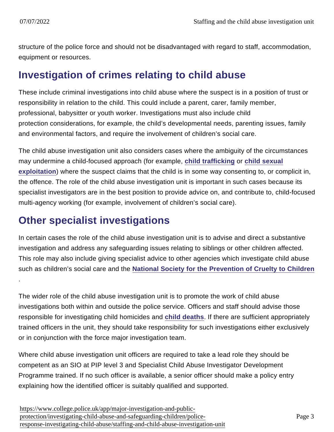.

structure of the police force and should not be disadvantaged with regard to staff, accommodation, equipment or resources.

#### Investigation of crimes relating to child abuse

These include criminal investigations into child abuse where the suspect is in a position of trust or responsibility in relation to the child. This could include a parent, carer, family member, professional, babysitter or youth worker. Investigations must also include child protection considerations, for example, the child's developmental needs, parenting issues, family and environmental factors, and require the involvement of children's social care.

The child abuse investigation unit also considers cases where the ambiguity of the circumstances may undermine a child-focused approach (for example, [child trafficking](https://www.app.college.police.uk/app-content/major-investigation-and-public-protection/child-abuse/police-response/risk-and-associated-investigations/#child-trafficking) or [child sexual](https://www.app.college.police.uk/app-content/major-investigation-and-public-protection/child-sexual-exploitation/) [exploitation](https://www.app.college.police.uk/app-content/major-investigation-and-public-protection/child-sexual-exploitation/) ) where the suspect claims that the child is in some way consenting to, or complicit in, the offence. The role of the child abuse investigation unit is important in such cases because its specialist investigators are in the best position to provide advice on, and contribute to, child-focused multi-agency working (for example, involvement of children's social care).

#### Other specialist investigations

In certain cases the role of the child abuse investigation unit is to advise and direct a substantive investigation and address any safeguarding issues relating to siblings or other children affected. This role may also include giving specialist advice to other agencies which investigate child abuse such as children's social care and the [National Society for the Prevention of Cruelty to Children](http://www.nspcc.org.uk/)

The wider role of the child abuse investigation unit is to promote the work of child abuse investigations both within and outside the police service. Officers and staff should advise those responsible for investigating child homicides and [child deaths](https://www.app.college.police.uk/app-content/major-investigation-and-public-protection/child-abuse/police-response/risk-and-associated-investigations/#investigating-child-deaths) . If there are sufficient appropriately trained officers in the unit, they should take responsibility for such investigations either exclusively or in conjunction with the force major investigation team.

Where child abuse investigation unit officers are required to take a lead role they should be competent as an SIO at PIP level 3 and Specialist Child Abuse Investigator Development Programme trained. If no such officer is available, a senior officer should make a policy entry explaining how the identified officer is suitably qualified and supported.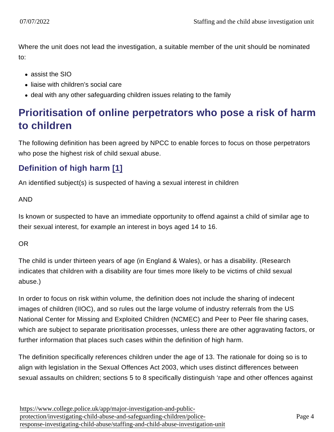Where the unit does not lead the investigation, a suitable member of the unit should be nominated to:

- assist the SIO
- liaise with children's social care
- deal with any other safeguarding children issues relating to the family

### Prioritisation of online perpetrators who pose a risk of harm to children

The following definition has been agreed by NPCC to enable forces to focus on those perpetrators who pose the highest risk of child sexual abuse.

#### Definition of high harm [\[1\]](https://www.app.college.police.uk/app-content/major-investigation-and-public-protection/child-abuse/police-response/staffing/#_ftn1)

An identified subject(s) is suspected of having a sexual interest in children

#### AND

Is known or suspected to have an immediate opportunity to offend against a child of similar age to their sexual interest, for example an interest in boys aged 14 to 16.

#### OR

The child is under thirteen years of age (in England & Wales), or has a disability. (Research indicates that children with a disability are four times more likely to be victims of child sexual abuse.)

In order to focus on risk within volume, the definition does not include the sharing of indecent images of children (IIOC), and so rules out the large volume of industry referrals from the US National Center for Missing and Exploited Children (NCMEC) and Peer to Peer file sharing cases, which are subject to separate prioritisation processes, unless there are other aggravating factors, or further information that places such cases within the definition of high harm.

The definition specifically references children under the age of 13. The rationale for doing so is to align with legislation in the Sexual Offences Act 2003, which uses distinct differences between sexual assaults on children; sections 5 to 8 specifically distinguish 'rape and other offences against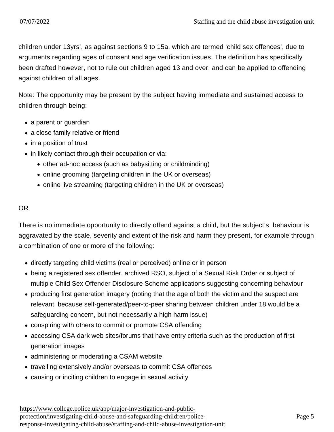children under 13yrs', as against sections 9 to 15a, which are termed 'child sex offences', due to arguments regarding ages of consent and age verification issues. The definition has specifically been drafted however, not to rule out children aged 13 and over, and can be applied to offending against children of all ages.

Note: The opportunity may be present by the subject having immediate and sustained access to children through being:

- a parent or guardian
- a close family relative or friend
- in a position of trust
- in likely contact through their occupation or via:
	- other ad-hoc access (such as babysitting or childminding)
	- online grooming (targeting children in the UK or overseas)
	- online live streaming (targeting children in the UK or overseas)

#### OR

There is no immediate opportunity to directly offend against a child, but the subject's behaviour is aggravated by the scale, severity and extent of the risk and harm they present, for example through a combination of one or more of the following:

- directly targeting child victims (real or perceived) online or in person
- being a registered sex offender, archived RSO, subject of a Sexual Risk Order or subject of multiple Child Sex Offender Disclosure Scheme applications suggesting concerning behaviour
- producing first generation imagery (noting that the age of both the victim and the suspect are relevant, because self-generated/peer-to-peer sharing between children under 18 would be a safeguarding concern, but not necessarily a high harm issue)
- conspiring with others to commit or promote CSA offending
- accessing CSA dark web sites/forums that have entry criteria such as the production of first generation images
- administering or moderating a CSAM website
- travelling extensively and/or overseas to commit CSA offences
- causing or inciting children to engage in sexual activity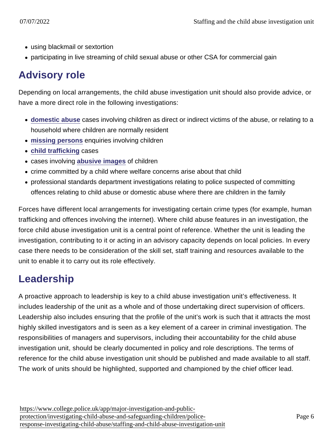- using blackmail or sextortion
- participating in live streaming of child sexual abuse or other CSA for commercial gain

#### Advisory role

Depending on local arrangements, the child abuse investigation unit should also provide advice, or have a more direct role in the following investigations:

- [domestic abuse](https://www.app.college.police.uk/app-content/major-investigation-and-public-protection/child-abuse/police-response/risk-and-associated-investigations/#domestic-abuse) cases involving children as direct or indirect victims of the abuse, or relating to a household where children are normally resident
- [missing persons](https://www.app.college.police.uk/app-content/major-investigation-and-public-protection/child-abuse/police-response/risk-and-associated-investigations/#missing-children-or-families) enquiries involving children
- [child trafficking](https://www.app.college.police.uk/app-content/major-investigation-and-public-protection/child-abuse/police-response/risk-and-associated-investigations/#child-trafficking) cases
- cases involving [abusive images](https://www.app.college.police.uk/app-content/major-investigation-and-public-protection/child-abuse/police-response/risk-and-associated-investigations/#indecent-images-of-children) of children
- crime committed by a child where welfare concerns arise about that child
- professional standards department investigations relating to police suspected of committing offences relating to child abuse or domestic abuse where there are children in the family

Forces have different local arrangements for investigating certain crime types (for example, human trafficking and offences involving the internet). Where child abuse features in an investigation, the force child abuse investigation unit is a central point of reference. Whether the unit is leading the investigation, contributing to it or acting in an advisory capacity depends on local policies. In every case there needs to be consideration of the skill set, staff training and resources available to the unit to enable it to carry out its role effectively.

#### Leadership

A proactive approach to leadership is key to a child abuse investigation unit's effectiveness. It includes leadership of the unit as a whole and of those undertaking direct supervision of officers. Leadership also includes ensuring that the profile of the unit's work is such that it attracts the most highly skilled investigators and is seen as a key element of a career in criminal investigation. The responsibilities of managers and supervisors, including their accountability for the child abuse investigation unit, should be clearly documented in policy and role descriptions. The terms of reference for the child abuse investigation unit should be published and made available to all staff. The work of units should be highlighted, supported and championed by the chief officer lead.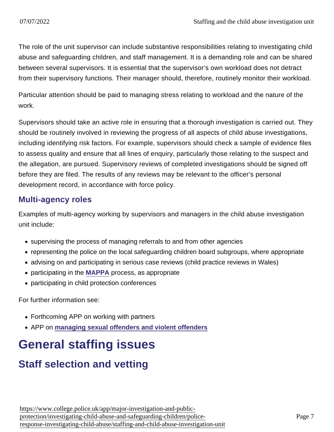The role of the unit supervisor can include substantive responsibilities relating to investigating child abuse and safeguarding children, and staff management. It is a demanding role and can be shared between several supervisors. It is essential that the supervisor's own workload does not detract from their supervisory functions. Their manager should, therefore, routinely monitor their workload.

Particular attention should be paid to managing stress relating to workload and the nature of the work.

Supervisors should take an active role in ensuring that a thorough investigation is carried out. They should be routinely involved in reviewing the progress of all aspects of child abuse investigations, including identifying risk factors. For example, supervisors should check a sample of evidence files to assess quality and ensure that all lines of enquiry, particularly those relating to the suspect and the allegation, are pursued. Supervisory reviews of completed investigations should be signed off before they are filed. The results of any reviews may be relevant to the officer's personal development record, in accordance with force policy.

#### Multi-agency roles

Examples of multi-agency working by supervisors and managers in the child abuse investigation unit include:

- supervising the process of managing referrals to and from other agencies
- representing the police on the local safeguarding children board subgroups, where appropriate
- advising on and participating in serious case reviews (child practice reviews in Wales)
- participating in the [MAPPA](http://www.justice.gov.uk/downloads/offenders/mappa/mappa-guidance-2012-part1.pdf) process, as appropriate
- participating in child protection conferences

For further information see:

- Forthcoming APP on working with partners
- APP on [managing sexual offenders and violent offenders](https://www.app.college.police.uk/app-content/major-investigation-and-public-protection/managing-sexual-offenders-and-violent-offenders/)

## General staffing issues

#### Staff selection and vetting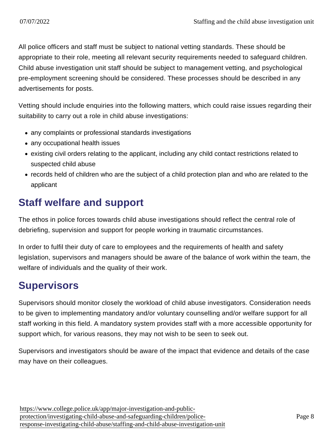All police officers and staff must be subject to national vetting standards. These should be appropriate to their role, meeting all relevant security requirements needed to safeguard children. Child abuse investigation unit staff should be subject to management vetting, and psychological pre-employment screening should be considered. These processes should be described in any advertisements for posts.

Vetting should include enquiries into the following matters, which could raise issues regarding their suitability to carry out a role in child abuse investigations:

- any complaints or professional standards investigations
- any occupational health issues
- existing civil orders relating to the applicant, including any child contact restrictions related to suspected child abuse
- records held of children who are the subject of a child protection plan and who are related to the applicant

#### Staff welfare and support

The ethos in police forces towards child abuse investigations should reflect the central role of debriefing, supervision and support for people working in traumatic circumstances.

In order to fulfil their duty of care to employees and the requirements of health and safety legislation, supervisors and managers should be aware of the balance of work within the team, the welfare of individuals and the quality of their work.

### **Supervisors**

Supervisors should monitor closely the workload of child abuse investigators. Consideration needs to be given to implementing mandatory and/or voluntary counselling and/or welfare support for all staff working in this field. A mandatory system provides staff with a more accessible opportunity for support which, for various reasons, they may not wish to be seen to seek out.

Supervisors and investigators should be aware of the impact that evidence and details of the case may have on their colleagues.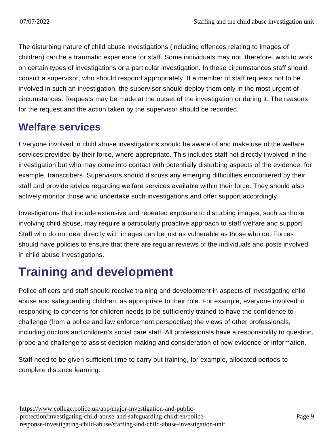The disturbing nature of child abuse investigations (including offences relating to images of children) can be a traumatic experience for staff. Some individuals may not, therefore, wish to work on certain types of investigations or a particular investigation. In these circumstances staff should consult a supervisor, who should respond appropriately. If a member of staff requests not to be involved in such an investigation, the supervisor should deploy them only in the most urgent of circumstances. Requests may be made at the outset of the investigation or during it. The reasons for the request and the action taken by the supervisor should be recorded.

### Welfare services

Everyone involved in child abuse investigations should be aware of and make use of the welfare services provided by their force, where appropriate. This includes staff not directly involved in the investigation but who may come into contact with potentially disturbing aspects of the evidence, for example, transcribers. Supervisors should discuss any emerging difficulties encountered by their staff and provide advice regarding welfare services available within their force. They should also actively monitor those who undertake such investigations and offer support accordingly.

Investigations that include extensive and repeated exposure to disturbing images, such as those involving child abuse, may require a particularly proactive approach to staff welfare and support. Staff who do not deal directly with images can be just as vulnerable as those who do. Forces should have policies to ensure that there are regular reviews of the individuals and posts involved in child abuse investigations.

# Training and development

Police officers and staff should receive training and development in aspects of investigating child abuse and safeguarding children, as appropriate to their role. For example, everyone involved in responding to concerns for children needs to be sufficiently trained to have the confidence to challenge (from a police and law enforcement perspective) the views of other professionals, including doctors and children's social care staff. All professionals have a responsibility to question, probe and challenge to assist decision making and consideration of new evidence or information.

Staff need to be given sufficient time to carry out training, for example, allocated periods to complete distance learning.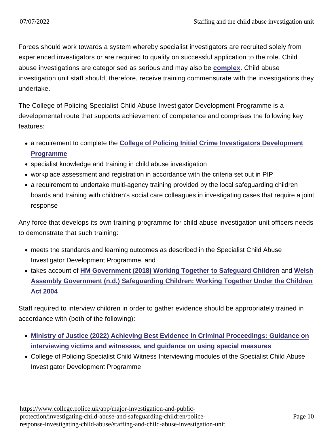Forces should work towards a system whereby specialist investigators are recruited solely from experienced investigators or are required to qualify on successful application to the role. Child abuse investigations are categorised as serious and may also be [complex](https://www.app.college.police.uk/app-content/major-investigation-and-public-protection/child-abuse/complex-investigations/) . Child abuse investigation unit staff should, therefore, receive training commensurate with the investigations they undertake.

The College of Policing Specialist Child Abuse Investigator Development Programme is a developmental route that supports achievement of competence and comprises the following key features:

- a requirement to complete the [College of Policing Initial Crime Investigators Development](http://www.college.police.uk/en/5237.htm) [Programme](http://www.college.police.uk/en/5237.htm)
- specialist knowledge and training in child abuse investigation
- workplace assessment and registration in accordance with the criteria set out in PIP
- a requirement to undertake multi-agency training provided by the local safeguarding children boards and training with children's social care colleagues in investigating cases that require a joint response

Any force that develops its own training programme for child abuse investigation unit officers needs to demonstrate that such training:

- meets the standards and learning outcomes as described in the Specialist Child Abuse Investigator Development Programme, and
- takes account of [HM Government \(2018\) Working Together to Safeguard Children](https://www.gov.uk/government/publications/working-together-to-safeguard-children--2) and [Welsh](http://wales.gov.uk/docs/dhss/publications/091126safeguardingchildrenen.pdf) [Assembly Government \(n.d.\) Safeguarding Children: Working Together Under the Children](http://wales.gov.uk/docs/dhss/publications/091126safeguardingchildrenen.pdf) [Act 2004](http://wales.gov.uk/docs/dhss/publications/091126safeguardingchildrenen.pdf)

Staff required to interview children in order to gather evidence should be appropriately trained in accordance with (both of the following):

- [Ministry of Justice \(2022\) Achieving Best Evidence in Criminal Proceedings: Guidance on](https://www.gov.uk/government/publications/achieving-best-evidence-in-criminal-proceedings) [interviewing victims and witnesses, and guidance on using special measures](https://www.gov.uk/government/publications/achieving-best-evidence-in-criminal-proceedings)
- College of Policing Specialist Child Witness Interviewing modules of the Specialist Child Abuse Investigator Development Programme